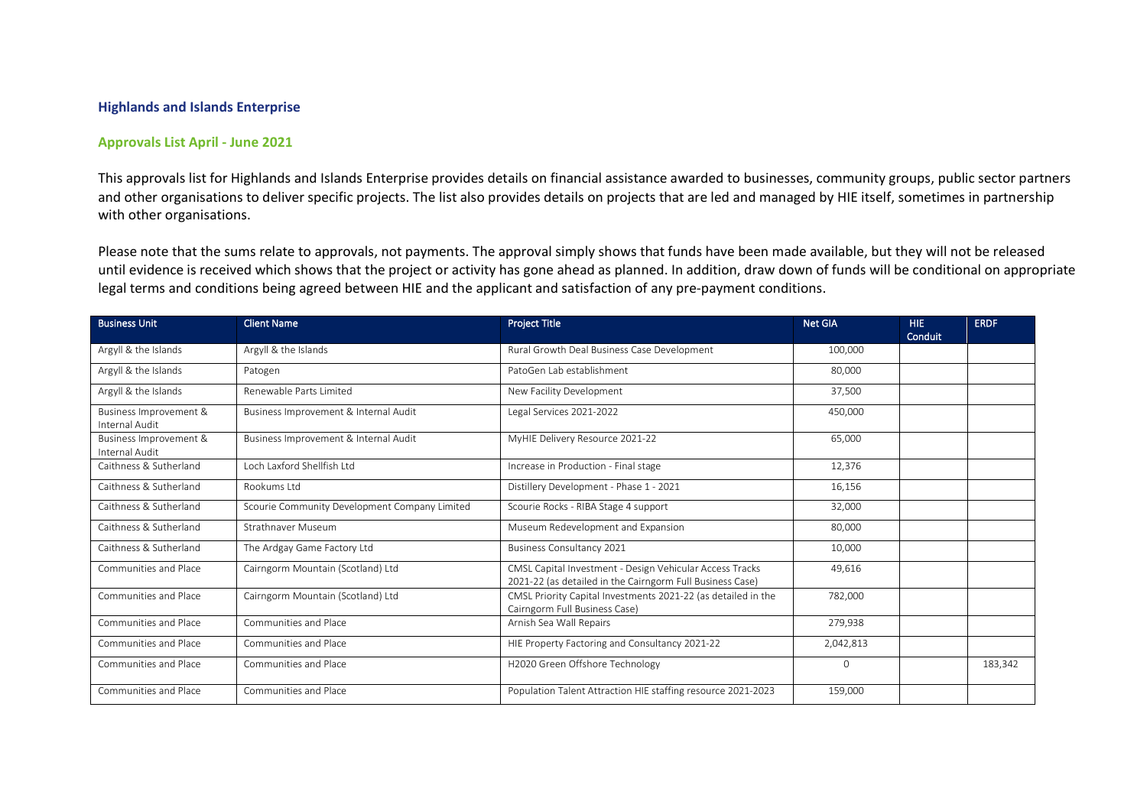## **Highlands and Islands Enterprise**

## **Approvals List April - June 2021**

This approvals list for Highlands and Islands Enterprise provides details on financial assistance awarded to businesses, community groups, public sector partners and other organisations to deliver specific projects. The list also provides details on projects that are led and managed by HIE itself, sometimes in partnership with other organisations.

Please note that the sums relate to approvals, not payments. The approval simply shows that funds have been made available, but they will not be released until evidence is received which shows that the project or activity has gone ahead as planned. In addition, draw down of funds will be conditional on appropriate legal terms and conditions being agreed between HIE and the applicant and satisfaction of any pre-payment conditions.

| <b>Business Unit</b>                     | <b>Client Name</b>                            | <b>Project Title</b>                                                                                                  | Net GIA   | HIE.<br>Conduit | <b>ERDF</b> |
|------------------------------------------|-----------------------------------------------|-----------------------------------------------------------------------------------------------------------------------|-----------|-----------------|-------------|
| Argyll & the Islands                     | Argyll & the Islands                          | Rural Growth Deal Business Case Development                                                                           | 100.000   |                 |             |
| Argyll & the Islands                     | Patogen                                       | PatoGen Lab establishment                                                                                             | 80,000    |                 |             |
| Argyll & the Islands                     | Renewable Parts Limited                       | New Facility Development                                                                                              | 37,500    |                 |             |
| Business Improvement &<br>Internal Audit | Business Improvement & Internal Audit         | Legal Services 2021-2022                                                                                              | 450,000   |                 |             |
| Business Improvement &<br>Internal Audit | Business Improvement & Internal Audit         | MyHIE Delivery Resource 2021-22                                                                                       | 65,000    |                 |             |
| Caithness & Sutherland                   | Loch Laxford Shellfish Ltd                    | Increase in Production - Final stage                                                                                  | 12,376    |                 |             |
| Caithness & Sutherland                   | Rookums I td                                  | Distillery Development - Phase 1 - 2021                                                                               | 16,156    |                 |             |
| Caithness & Sutherland                   | Scourie Community Development Company Limited | Scourie Rocks - RIBA Stage 4 support                                                                                  | 32,000    |                 |             |
| Caithness & Sutherland                   | Strathnaver Museum                            | Museum Redevelopment and Expansion                                                                                    | 80,000    |                 |             |
| Caithness & Sutherland                   | The Ardgay Game Factory Ltd                   | <b>Business Consultancy 2021</b>                                                                                      | 10,000    |                 |             |
| Communities and Place                    | Cairngorm Mountain (Scotland) Ltd             | CMSL Capital Investment - Design Vehicular Access Tracks<br>2021-22 (as detailed in the Cairngorm Full Business Case) | 49,616    |                 |             |
| Communities and Place                    | Cairngorm Mountain (Scotland) Ltd             | CMSL Priority Capital Investments 2021-22 (as detailed in the<br>Cairngorm Full Business Case)                        | 782,000   |                 |             |
| Communities and Place                    | Communities and Place                         | Arnish Sea Wall Repairs                                                                                               | 279,938   |                 |             |
| Communities and Place                    | Communities and Place                         | HIE Property Factoring and Consultancy 2021-22                                                                        | 2,042,813 |                 |             |
| Communities and Place                    | Communities and Place                         | H2020 Green Offshore Technology                                                                                       | $\Omega$  |                 | 183,342     |
| Communities and Place                    | Communities and Place                         | Population Talent Attraction HIE staffing resource 2021-2023                                                          | 159.000   |                 |             |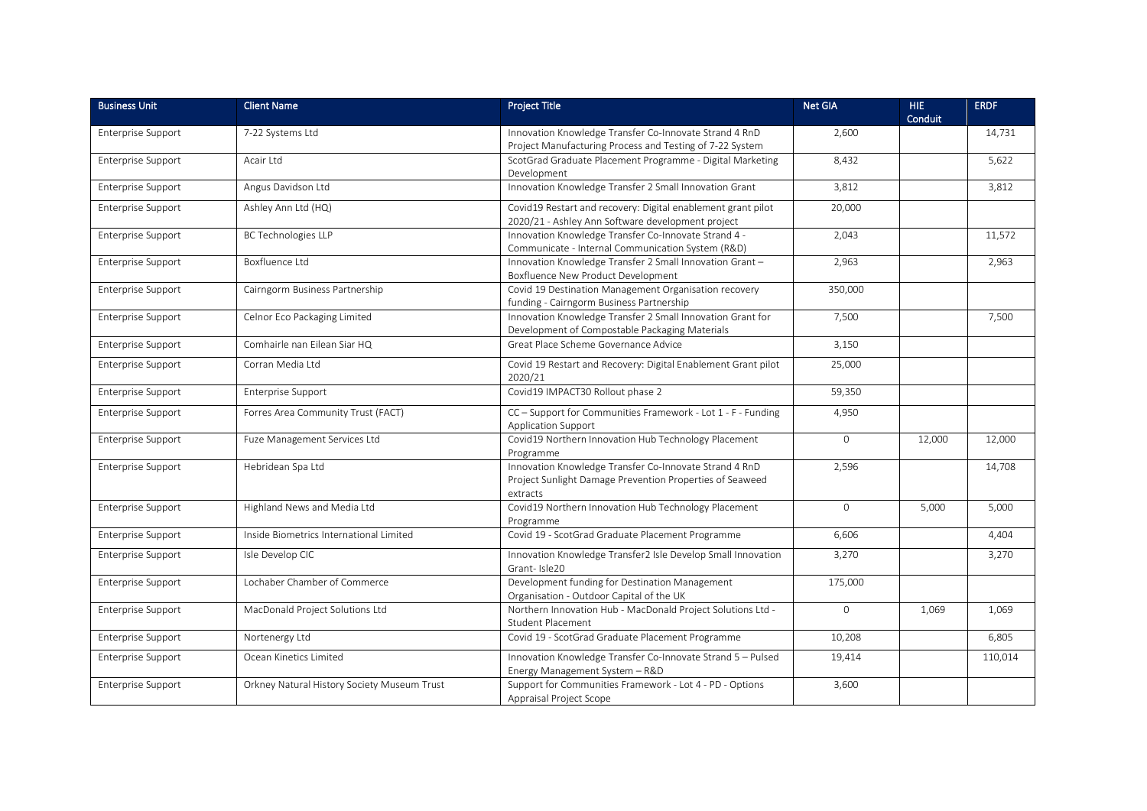| <b>Business Unit</b>      | <b>Client Name</b>                          | <b>Project Title</b>                                                                                                           | <b>Net GIA</b> | HIE.<br>Conduit | <b>ERDF</b> |
|---------------------------|---------------------------------------------|--------------------------------------------------------------------------------------------------------------------------------|----------------|-----------------|-------------|
| Enterprise Support        | 7-22 Systems Ltd                            | Innovation Knowledge Transfer Co-Innovate Strand 4 RnD<br>Project Manufacturing Process and Testing of 7-22 System             | 2,600          |                 | 14,731      |
| <b>Enterprise Support</b> | Acair Ltd                                   | ScotGrad Graduate Placement Programme - Digital Marketing<br>Development                                                       | 8,432          |                 | 5,622       |
| <b>Enterprise Support</b> | Angus Davidson Ltd                          | Innovation Knowledge Transfer 2 Small Innovation Grant                                                                         | 3,812          |                 | 3,812       |
| Enterprise Support        | Ashley Ann Ltd (HQ)                         | Covid19 Restart and recovery: Digital enablement grant pilot<br>2020/21 - Ashley Ann Software development project              | 20,000         |                 |             |
| Enterprise Support        | <b>BC Technologies LLP</b>                  | Innovation Knowledge Transfer Co-Innovate Strand 4 -<br>Communicate - Internal Communication System (R&D)                      | 2,043          |                 | 11,572      |
| Enterprise Support        | Boxfluence Ltd                              | Innovation Knowledge Transfer 2 Small Innovation Grant-<br>Boxfluence New Product Development                                  | 2,963          |                 | 2,963       |
| Enterprise Support        | Cairngorm Business Partnership              | Covid 19 Destination Management Organisation recovery<br>funding - Cairngorm Business Partnership                              | 350,000        |                 |             |
| Enterprise Support        | Celnor Eco Packaging Limited                | Innovation Knowledge Transfer 2 Small Innovation Grant for<br>Development of Compostable Packaging Materials                   | 7,500          |                 | 7,500       |
| <b>Enterprise Support</b> | Comhairle nan Eilean Siar HQ                | Great Place Scheme Governance Advice                                                                                           | 3,150          |                 |             |
| <b>Enterprise Support</b> | Corran Media Ltd                            | Covid 19 Restart and Recovery: Digital Enablement Grant pilot<br>2020/21                                                       | 25,000         |                 |             |
| <b>Enterprise Support</b> | <b>Enterprise Support</b>                   | Covid19 IMPACT30 Rollout phase 2                                                                                               | 59,350         |                 |             |
| <b>Enterprise Support</b> | Forres Area Community Trust (FACT)          | CC - Support for Communities Framework - Lot 1 - F - Funding<br><b>Application Support</b>                                     | 4,950          |                 |             |
| <b>Enterprise Support</b> | Fuze Management Services Ltd                | Covid19 Northern Innovation Hub Technology Placement<br>Programme                                                              | $\mathbf{0}$   | 12,000          | 12,000      |
| Enterprise Support        | Hebridean Spa Ltd                           | Innovation Knowledge Transfer Co-Innovate Strand 4 RnD<br>Project Sunlight Damage Prevention Properties of Seaweed<br>extracts | 2,596          |                 | 14,708      |
| Enterprise Support        | Highland News and Media Ltd                 | Covid19 Northern Innovation Hub Technology Placement<br>Programme                                                              | $\mathbf{0}$   | 5,000           | 5,000       |
| Enterprise Support        | Inside Biometrics International Limited     | Covid 19 - ScotGrad Graduate Placement Programme                                                                               | 6,606          |                 | 4,404       |
| <b>Enterprise Support</b> | Isle Develop CIC                            | Innovation Knowledge Transfer2 Isle Develop Small Innovation<br>Grant-Isle20                                                   | 3,270          |                 | 3,270       |
| <b>Enterprise Support</b> | Lochaber Chamber of Commerce                | Development funding for Destination Management<br>Organisation - Outdoor Capital of the UK                                     | 175,000        |                 |             |
| <b>Enterprise Support</b> | MacDonald Project Solutions Ltd             | Northern Innovation Hub - MacDonald Project Solutions Ltd -<br><b>Student Placement</b>                                        | $\mathbf{0}$   | 1,069           | 1,069       |
| Enterprise Support        | Nortenergy Ltd                              | Covid 19 - ScotGrad Graduate Placement Programme                                                                               | 10,208         |                 | 6,805       |
| <b>Enterprise Support</b> | Ocean Kinetics Limited                      | Innovation Knowledge Transfer Co-Innovate Strand 5 - Pulsed<br>Energy Management System - R&D                                  | 19,414         |                 | 110,014     |
| Enterprise Support        | Orkney Natural History Society Museum Trust | Support for Communities Framework - Lot 4 - PD - Options<br>Appraisal Project Scope                                            | 3,600          |                 |             |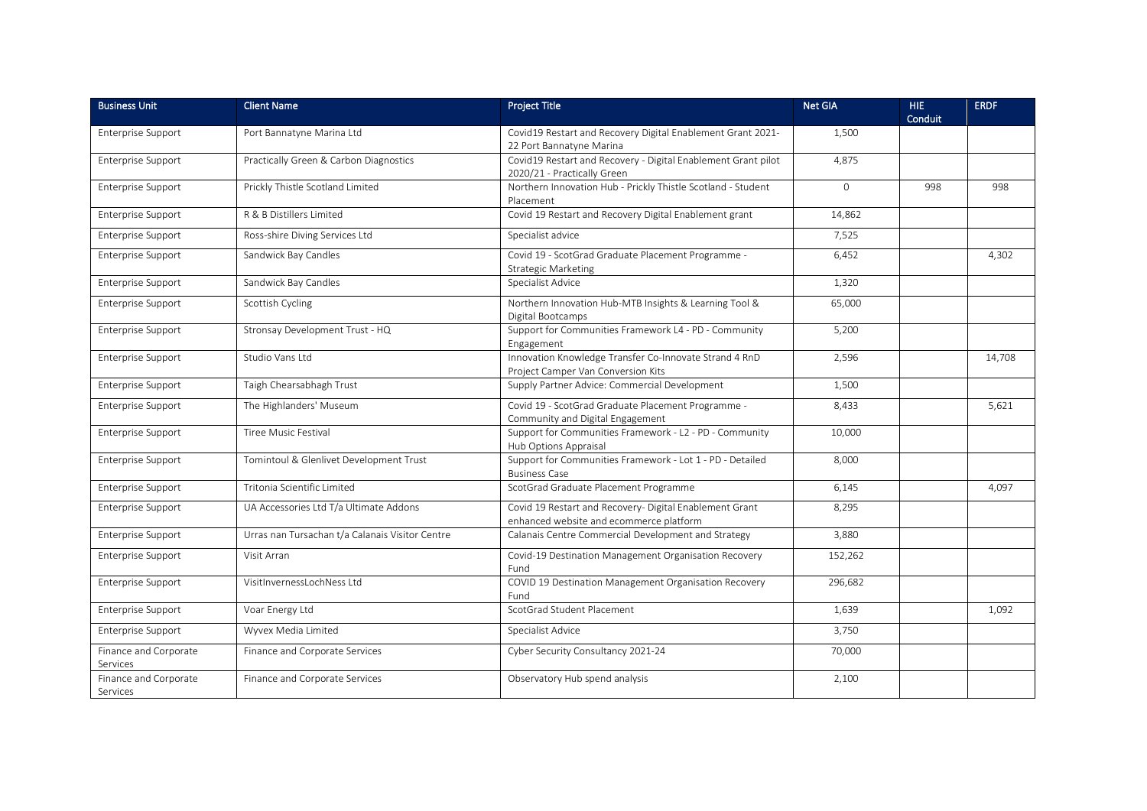| <b>Business Unit</b>              | <b>Client Name</b>                              | <b>Project Title</b>                                                                               | <b>Net GIA</b> | HIE.<br>Conduit | <b>ERDF</b> |
|-----------------------------------|-------------------------------------------------|----------------------------------------------------------------------------------------------------|----------------|-----------------|-------------|
| Enterprise Support                | Port Bannatyne Marina Ltd                       | Covid19 Restart and Recovery Digital Enablement Grant 2021-<br>22 Port Bannatyne Marina            | 1,500          |                 |             |
| <b>Enterprise Support</b>         | Practically Green & Carbon Diagnostics          | Covid19 Restart and Recovery - Digital Enablement Grant pilot<br>2020/21 - Practically Green       | 4,875          |                 |             |
| Enterprise Support                | Prickly Thistle Scotland Limited                | Northern Innovation Hub - Prickly Thistle Scotland - Student<br>Placement                          | $\mathbf 0$    | 998             | 998         |
| Enterprise Support                | R & B Distillers Limited                        | Covid 19 Restart and Recovery Digital Enablement grant                                             | 14,862         |                 |             |
| Enterprise Support                | Ross-shire Diving Services Ltd                  | Specialist advice                                                                                  | 7,525          |                 |             |
| Enterprise Support                | Sandwick Bay Candles                            | Covid 19 - ScotGrad Graduate Placement Programme -<br>Strategic Marketing                          | 6.452          |                 | 4,302       |
| <b>Enterprise Support</b>         | Sandwick Bay Candles                            | Specialist Advice                                                                                  | 1,320          |                 |             |
| Enterprise Support                | Scottish Cycling                                | Northern Innovation Hub-MTB Insights & Learning Tool &<br>Digital Bootcamps                        | 65,000         |                 |             |
| Enterprise Support                | Stronsay Development Trust - HQ                 | Support for Communities Framework L4 - PD - Community<br>Engagement                                | 5,200          |                 |             |
| Enterprise Support                | Studio Vans Ltd                                 | Innovation Knowledge Transfer Co-Innovate Strand 4 RnD<br>Project Camper Van Conversion Kits       | 2,596          |                 | 14,708      |
| Enterprise Support                | Taigh Chearsabhagh Trust                        | Supply Partner Advice: Commercial Development                                                      | 1,500          |                 |             |
| <b>Enterprise Support</b>         | The Highlanders' Museum                         | Covid 19 - ScotGrad Graduate Placement Programme -<br>Community and Digital Engagement             | 8,433          |                 | 5,621       |
| Enterprise Support                | Tiree Music Festival                            | Support for Communities Framework - L2 - PD - Community<br>Hub Options Appraisal                   | 10,000         |                 |             |
| Enterprise Support                | Tomintoul & Glenlivet Development Trust         | Support for Communities Framework - Lot 1 - PD - Detailed<br><b>Business Case</b>                  | 8.000          |                 |             |
| Enterprise Support                | Tritonia Scientific Limited                     | ScotGrad Graduate Placement Programme                                                              | 6,145          |                 | 4,097       |
| Enterprise Support                | UA Accessories Ltd T/a Ultimate Addons          | Covid 19 Restart and Recovery- Digital Enablement Grant<br>enhanced website and ecommerce platform | 8,295          |                 |             |
| Enterprise Support                | Urras nan Tursachan t/a Calanais Visitor Centre | Calanais Centre Commercial Development and Strategy                                                | 3,880          |                 |             |
| Enterprise Support                | Visit Arran                                     | Covid-19 Destination Management Organisation Recovery<br>Fund                                      | 152,262        |                 |             |
| Enterprise Support                | VisitInvernessLochNess Ltd                      | COVID 19 Destination Management Organisation Recovery<br>Fund                                      | 296,682        |                 |             |
| Enterprise Support                | Voar Energy Ltd                                 | ScotGrad Student Placement                                                                         | 1,639          |                 | 1,092       |
| Enterprise Support                | Wyvex Media Limited                             | Specialist Advice                                                                                  | 3,750          |                 |             |
| Finance and Corporate<br>Services | Finance and Corporate Services                  | Cyber Security Consultancy 2021-24                                                                 | 70,000         |                 |             |
| Finance and Corporate<br>Services | Finance and Corporate Services                  | Observatory Hub spend analysis                                                                     | 2,100          |                 |             |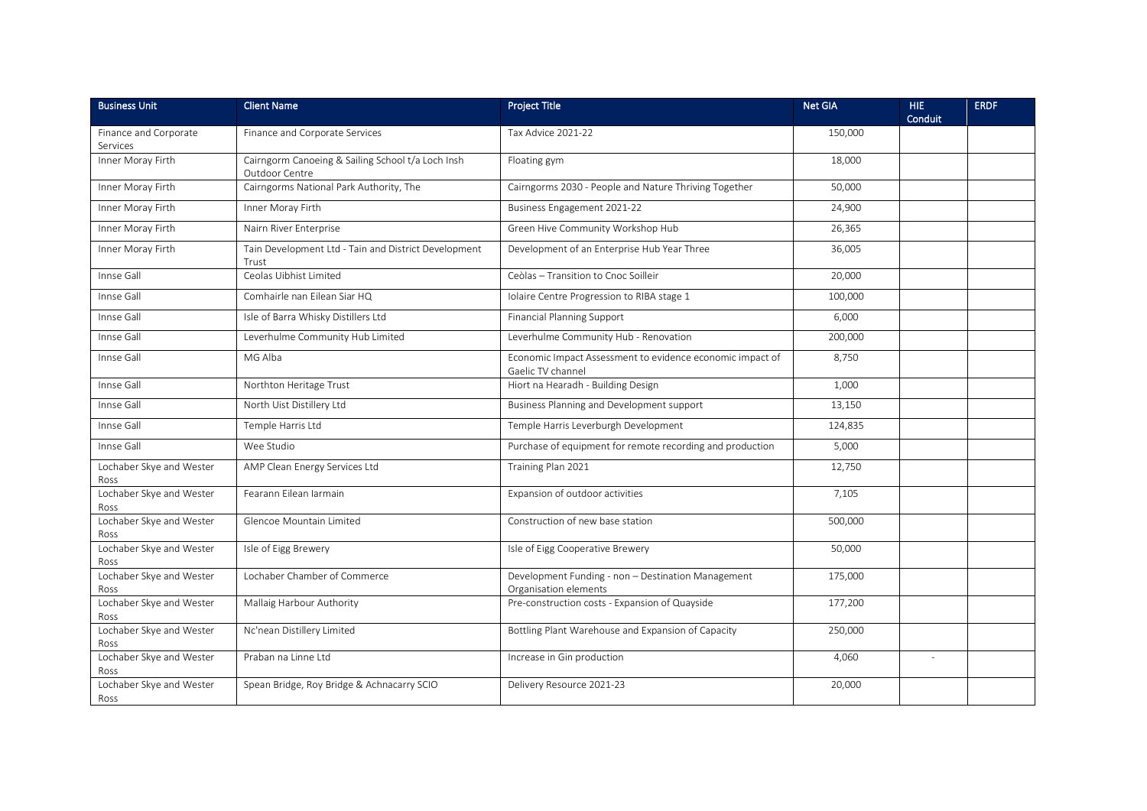| <b>Business Unit</b>              | <b>Client Name</b>                                                  | <b>Project Title</b>                                                           | <b>Net GIA</b> | HIE.<br>Conduit | <b>ERDF</b> |
|-----------------------------------|---------------------------------------------------------------------|--------------------------------------------------------------------------------|----------------|-----------------|-------------|
| Finance and Corporate<br>Services | Finance and Corporate Services                                      | Tax Advice 2021-22                                                             | 150,000        |                 |             |
| Inner Moray Firth                 | Cairngorm Canoeing & Sailing School t/a Loch Insh<br>Outdoor Centre | Floating gym                                                                   | 18,000         |                 |             |
| Inner Moray Firth                 | Cairngorms National Park Authority, The                             | Cairngorms 2030 - People and Nature Thriving Together                          | 50,000         |                 |             |
| Inner Moray Firth                 | Inner Moray Firth                                                   | Business Engagement 2021-22                                                    | 24,900         |                 |             |
| Inner Moray Firth                 | Nairn River Enterprise                                              | Green Hive Community Workshop Hub                                              | 26,365         |                 |             |
| Inner Moray Firth                 | Tain Development Ltd - Tain and District Development<br>Trust       | Development of an Enterprise Hub Year Three                                    | 36,005         |                 |             |
| Innse Gall                        | Ceolas Uibhist Limited                                              | Ceòlas - Transition to Cnoc Soilleir                                           | 20,000         |                 |             |
| Innse Gall                        | Comhairle nan Eilean Siar HQ                                        | Iolaire Centre Progression to RIBA stage 1                                     | 100,000        |                 |             |
| Innse Gall                        | Isle of Barra Whisky Distillers Ltd                                 | <b>Financial Planning Support</b>                                              | 6,000          |                 |             |
| Innse Gall                        | Leverhulme Community Hub Limited                                    | Leverhulme Community Hub - Renovation                                          | 200,000        |                 |             |
| Innse Gall                        | MG Alba                                                             | Economic Impact Assessment to evidence economic impact of<br>Gaelic TV channel | 8,750          |                 |             |
| Innse Gall                        | Northton Heritage Trust                                             | Hiort na Hearadh - Building Design                                             | 1,000          |                 |             |
| Innse Gall                        | North Uist Distillery Ltd                                           | Business Planning and Development support                                      | 13,150         |                 |             |
| Innse Gall                        | Temple Harris Ltd                                                   | Temple Harris Leverburgh Development                                           | 124,835        |                 |             |
| Innse Gall                        | Wee Studio                                                          | Purchase of equipment for remote recording and production                      | 5,000          |                 |             |
| Lochaber Skye and Wester<br>Ross  | AMP Clean Energy Services Ltd                                       | Training Plan 2021                                                             | 12,750         |                 |             |
| Lochaber Skye and Wester<br>Ross  | Fearann Eilean Iarmain                                              | Expansion of outdoor activities                                                | 7,105          |                 |             |
| Lochaber Skye and Wester<br>Ross  | Glencoe Mountain Limited                                            | Construction of new base station                                               | 500.000        |                 |             |
| Lochaber Skye and Wester<br>Ross  | Isle of Eigg Brewery                                                | Isle of Eigg Cooperative Brewery                                               | 50,000         |                 |             |
| Lochaber Skye and Wester<br>Ross  | Lochaber Chamber of Commerce                                        | Development Funding - non - Destination Management<br>Organisation elements    | 175,000        |                 |             |
| Lochaber Skye and Wester<br>Ross  | Mallaig Harbour Authority                                           | Pre-construction costs - Expansion of Quayside                                 | 177,200        |                 |             |
| Lochaber Skye and Wester<br>Ross  | Nc'nean Distillery Limited                                          | Bottling Plant Warehouse and Expansion of Capacity                             | 250,000        |                 |             |
| Lochaber Skye and Wester<br>Ross  | Praban na Linne Ltd                                                 | Increase in Gin production                                                     | 4,060          |                 |             |
| Lochaber Skye and Wester<br>Ross  | Spean Bridge, Roy Bridge & Achnacarry SCIO                          | Delivery Resource 2021-23                                                      | 20,000         |                 |             |